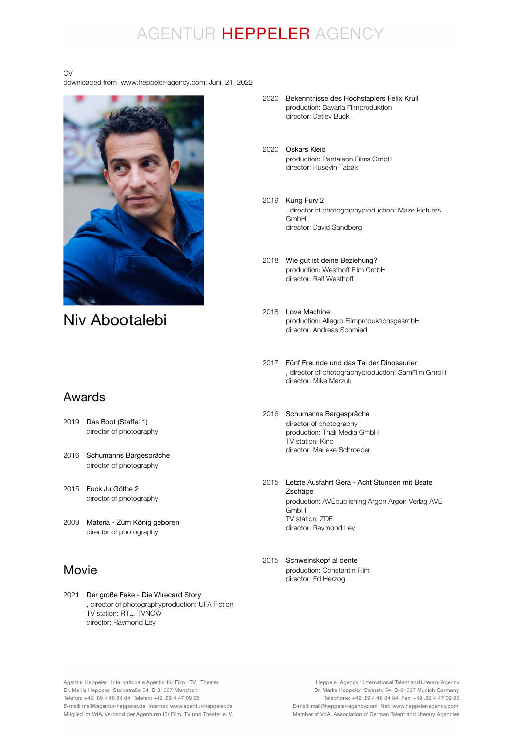### AGENTUR HEPPELER AGENCY

#### CV

downloaded from www.heppeler-agency.com: Juni, 21. 2022



### Niv Abootalebi

#### Awards

- 2019 Das Boot (Staffel 1) director of photography
- 2016 Schumanns Bargespräche director of photography
- 2015 Fuck Ju Göthe 2 director of photography
- 2009 Materia Zum König geboren director of photography

#### Movie

2021 Der große Fake - Die Wirecard Story , director of photographyproduction: UFA Fiction TV station: RTL, TVNOW director: Raymond Ley

- 2020 Bekenntnisse des Hochstaplers Felix Krull production: Bavaria Filmproduktion director: Detlev Buck
- 2020 Oskars Kleid production: Pantaleon Films GmbH director: Hüseyin Tabak
- 2019 Kung Fury 2 , director of photographyproduction: Maze Pictures **GmbH** director: David Sandberg
- 2018 Wie gut ist deine Beziehung? production: Westhoff Film GmbH director: Ralf Westhoff
- 2018 Love Machine production: Allegro FilmproduktionsgesmbH director: Andreas Schmied
- 2017 Fünf Freunde und das Tal der Dinosaurier , director of photographyproduction: SamFilm GmbH director: Mike Marzuk
- 2016 Schumanns Bargespräche director of photography production: Thali Media GmbH TV station: Kino director: Marieke Schroeder
- 2015 Letzte Ausfahrt Gera Acht Stunden mit Beate production: AVEpublishing Argon Argon Verlag AVE GmbH TV station: ZDF director: Raymond Ley Zschäpe
- 2015 Schweinskopf al denteproduction: Constantin Film director: Ed Herzog

Agentur Heppeler · Internationale Agentur für Film · TV · Theater Dr. Marlis Heppeler Steinstraße 54 D-81667 München Telefon: +49.89 4 48 84 84 Telefax: +49.89 4 47 09 95 E-mail: mail@agentur-heppeler.de Internet: www.agentur-heppeler.de Mitglied im VdA, Verband der Agenturen für Film, TV und Theater e. V.

Heppeler Agency · International Talent and Literary Agency Dr. Marlis Heppeler Steinstr. 54 D-81667 Munich Germany Telephone: +49 .89 4 48 84 84 Fax: +49 .89 4 47 09 95 E-mail: mail@heppeler-agency.com Net: www.heppeler-agency.com Member of VdA, Association of German Talent and Literary Agencies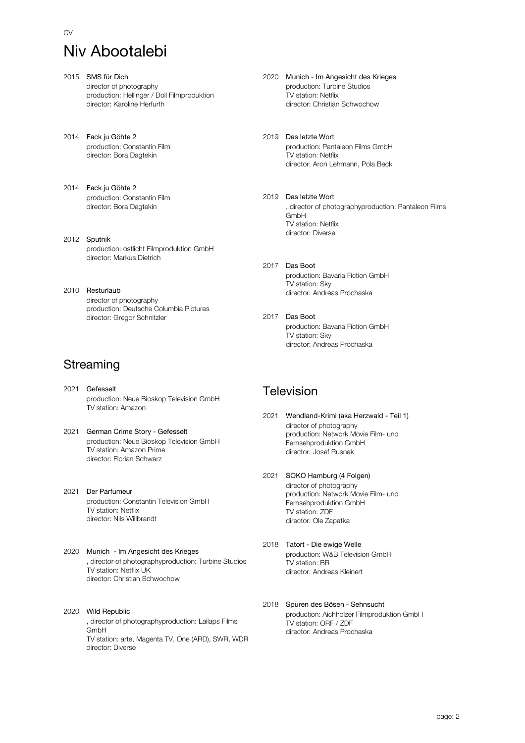# Niv Abootalebi

- 2015 SMS für Dich director of photography production: Hellinger / Doll Filmproduktion director: Karoline Herfurth
- 2014 Fack ju Göhte 2 production: Constantin Film director: Bora Dagtekin
- 2014 Fack ju Göhte 2 production: Constantin Film director: Bora Dagtekin
- 2012 Sputnik production: ostlicht Filmproduktion GmbH director: Markus Dietrich
- 2010 Resturlaub director of photography production: Deutsche Columbia Pictures director: Gregor Schnitzler

### **Streaming**

- 2021 Gefesselt production: Neue Bioskop Television GmbH TV station: Amazon
- 2021 German Crime Story Gefesselt production: Neue Bioskop Television GmbH TV station: Amazon Prime director: Florian Schwarz
- 2021 Der Parfumeur production: Constantin Television GmbH TV station: Netflix director: Nils Willbrandt
- 2020 Munich Im Angesicht des Krieges , director of photographyproduction: Turbine Studios TV station: Netflix UK director: Christian Schwochow
- 2020 Wild Republic , director of photographyproduction: Lailaps Films GmbH TV station: arte, Magenta TV, One (ARD), SWR, WDR director: Diverse
- 2020 Munich Im Angesicht des Krieges production: Turbine Studios TV station: Netflix director: Christian Schwochow
- 2019 Das letzte Wort production: Pantaleon Films GmbH TV station: Netflix director: Aron Lehmann, Pola Beck
- 2019 Das letzte Wort , director of photographyproduction: Pantaleon Films GmbH TV station: Netflix director: Diverse
- 2017 Das Boot production: Bavaria Fiction GmbH TV station: Sky director: Andreas Prochaska
- 2017 Das Boot production: Bavaria Fiction GmbH TV station: Sky director: Andreas Prochaska

#### **Television**

- 2021 Wendland-Krimi (aka Herzwald Teil 1) director of photography production: Network Movie Film- und Fernsehproduktion GmbH director: Josef Rusnak
- 2021 SOKO Hamburg (4 Folgen) director of photography production: Network Movie Film- und Fernsehproduktion GmbH TV station: ZDF director: Ole Zapatka
- 2018 Tatort Die ewige Welle production: W&B Television GmbH TV station: BR director: Andreas Kleinert
- 2018 Spuren des Bösen Sehnsucht production: Aichholzer Filmproduktion GmbH TV station: ORF / ZDF director: Andreas Prochaska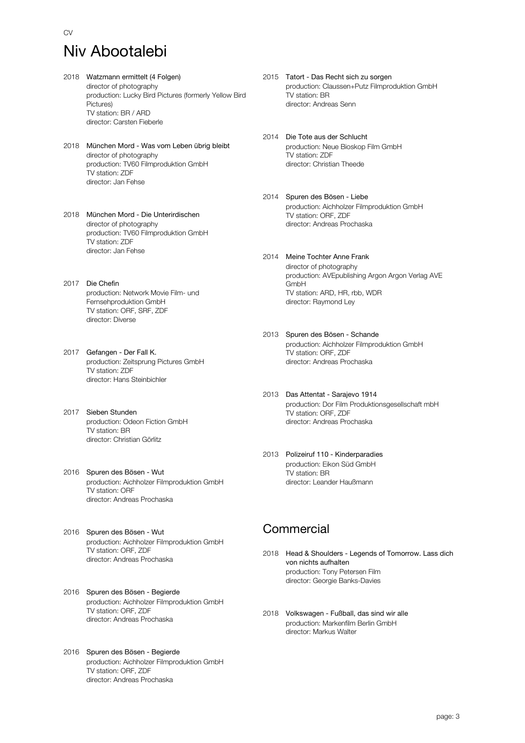## Niv Abootalebi

- 2018 Watzmann ermittelt (4 Folgen) director of photography production: Lucky Bird Pictures (formerly Yellow Bird Pictures) TV station: BR / ARD director: Carsten Fieberle
- 2018 München Mord Was vom Leben übrig bleibt director of photography production: TV60 Filmproduktion GmbH TV station: ZDF director: Jan Fehse
- 2018 München Mord Die Unterirdischen director of photography production: TV60 Filmproduktion GmbH TV station: ZDF director: Jan Fehse
- 2017 Die Chefin production: Network Movie Film- und Fernsehproduktion GmbH TV station: ORF, SRF, ZDF director: Diverse
- 2017 Gefangen Der Fall K. production: Zeitsprung Pictures GmbH TV station: ZDF director: Hans Steinbichler
- 2017 Sieben Stunden production: Odeon Fiction GmbH TV station: BR director: Christian Görlitz
- 2016 Spuren des Bösen Wut production: Aichholzer Filmproduktion GmbH TV station: ORF director: Andreas Prochaska
- 2016 Spuren des Bösen Wut production: Aichholzer Filmproduktion GmbH TV station: ORF, ZDF director: Andreas Prochaska
- 2016 Spuren des Bösen Begierde production: Aichholzer Filmproduktion GmbH TV station: ORF, ZDF director: Andreas Prochaska
- 2016 Spuren des Bösen Begierde production: Aichholzer Filmproduktion GmbH TV station: ORF, ZDF director: Andreas Prochaska
- 2015 Tatort Das Recht sich zu sorgen production: Claussen+Putz Filmproduktion GmbH TV station: BR director: Andreas Senn
- 2014 Die Tote aus der Schlucht production: Neue Bioskop Film GmbH TV station: ZDF director: Christian Theede
- 2014 Spuren des Bösen Liebe production: Aichholzer Filmproduktion GmbH TV station: ORF, ZDF director: Andreas Prochaska
- 2014 Meine Tochter Anne Frank director of photography production: AVEpublishing Argon Argon Verlag AVE GmbH TV station: ARD, HR, rbb, WDR director: Raymond Ley
- 2013 Spuren des Bösen Schande production: Aichholzer Filmproduktion GmbH TV station: ORF, ZDF director: Andreas Prochaska
- 2013 Das Attentat Sarajevo 1914 production: Dor Film Produktionsgesellschaft mbH TV station: ORF, ZDF director: Andreas Prochaska
- 2013 Polizeiruf 110 Kinderparadies production: Eikon Süd GmbH TV station: BR director: Leander Haußmann

#### **Commercial**

- 2018 Head & Shoulders Legends of Tomorrow. Lass dich production: Tony Petersen Film director: Georgie Banks-Davies von nichts aufhalten
- 2018 Volkswagen Fußball, das sind wir alle production: Markenfilm Berlin GmbH director: Markus Walter